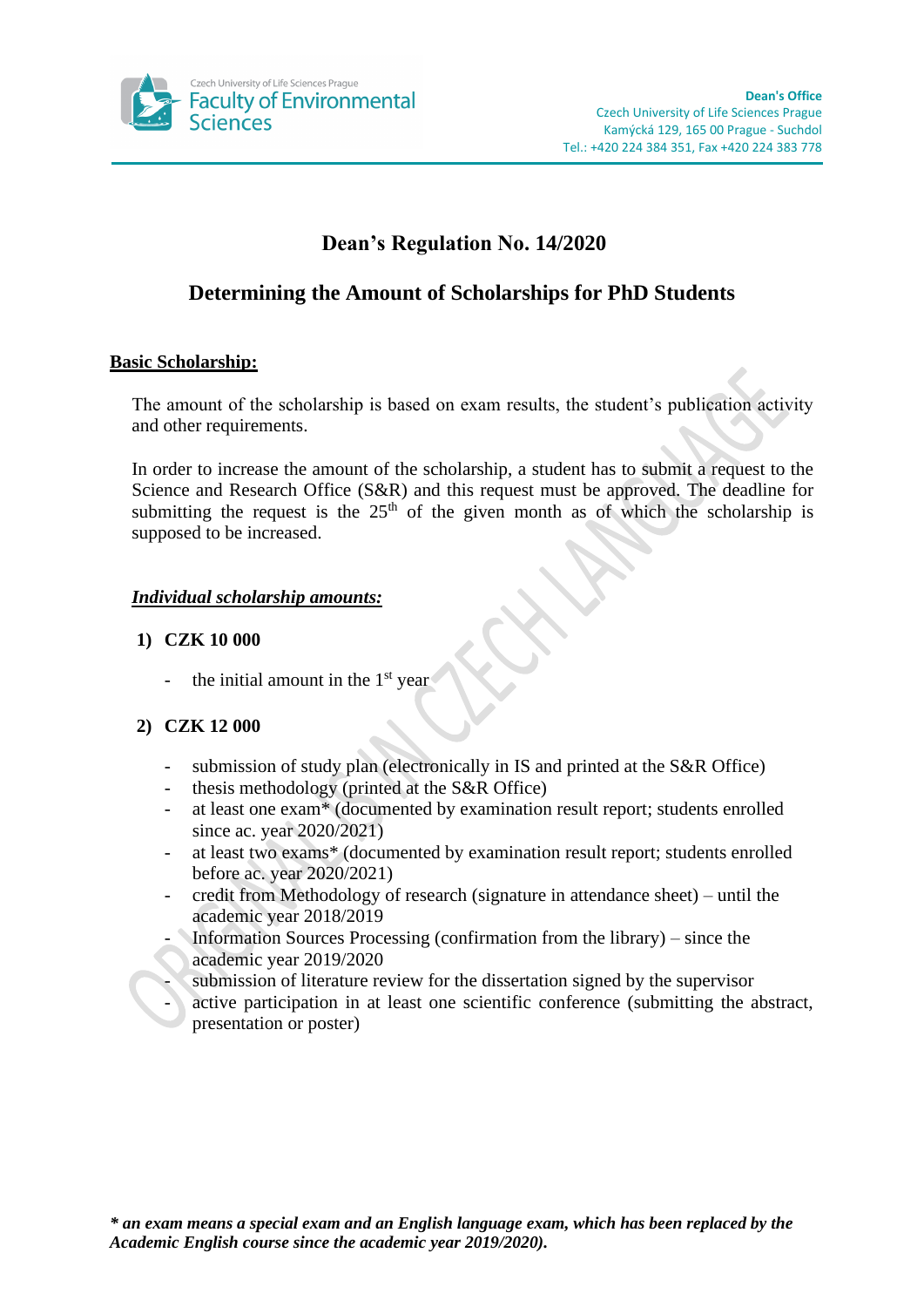

# **Dean's Regulation No. 14/2020**

# **Determining the Amount of Scholarships for PhD Students**

### **Basic Scholarship:**

The amount of the scholarship is based on exam results, the student's publication activity and other requirements.

In order to increase the amount of the scholarship, a student has to submit a request to the Science and Research Office (S&R) and this request must be approved. The deadline for submitting the request is the  $25<sup>th</sup>$  of the given month as of which the scholarship is supposed to be increased.

# *Individual scholarship amounts:*

### **1) CZK 10 000**

the initial amount in the  $1<sup>st</sup>$  year

#### **2) CZK 12 000**

- submission of study plan (electronically in IS and printed at the S&R Office)
- thesis methodology (printed at the  $S\&R$  Office)
- at least one exam\* (documented by examination result report; students enrolled since ac. year 2020/2021)
- at least two exams\* (documented by examination result report; students enrolled before ac. year 2020/2021)
- credit from Methodology of research (signature in attendance sheet) until the academic year 2018/2019
- Information Sources Processing (confirmation from the library) since the academic year 2019/2020
- submission of literature review for the dissertation signed by the supervisor
- active participation in at least one scientific conference (submitting the abstract, presentation or poster)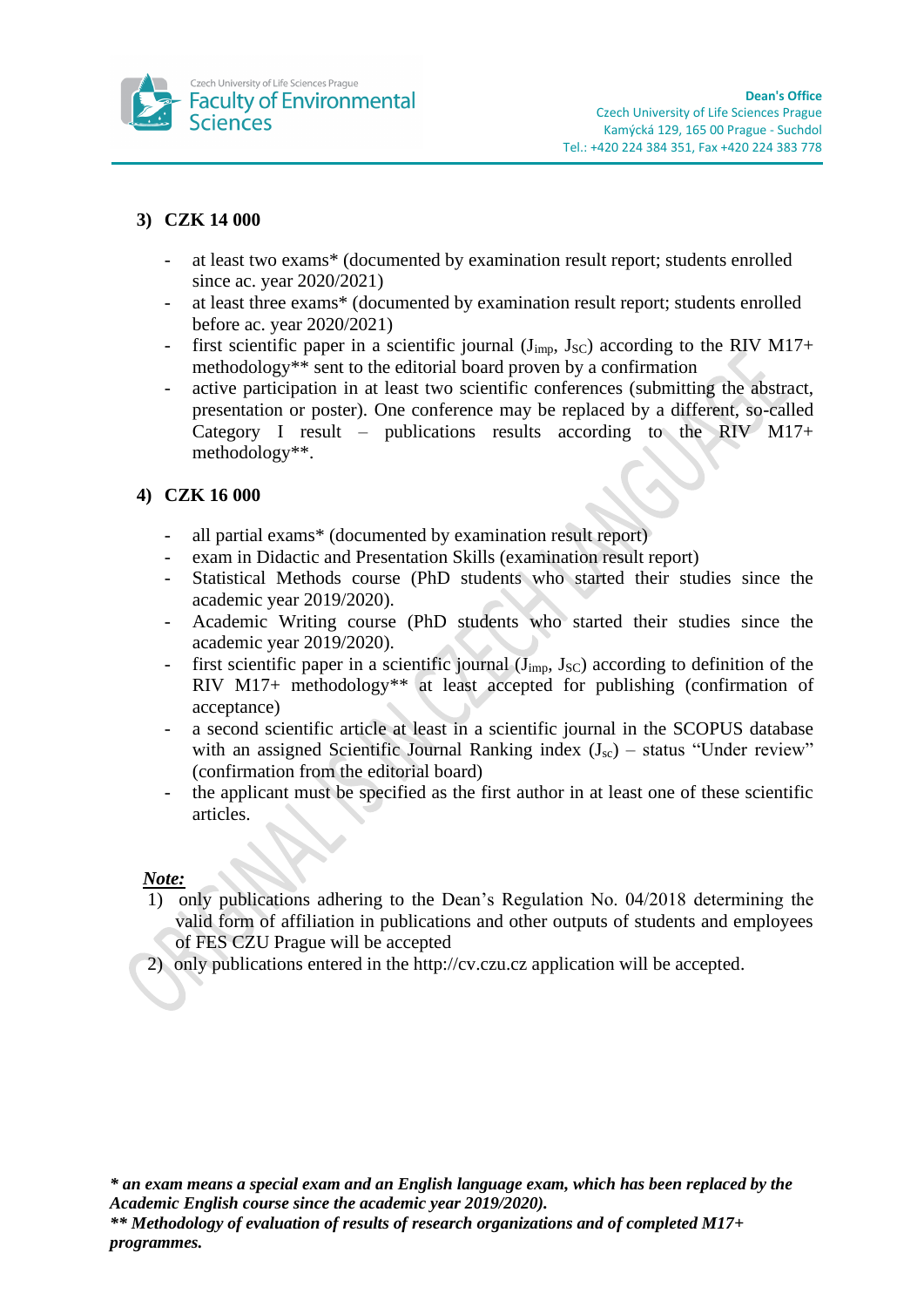

# **3) CZK 14 000**

- at least two exams\* (documented by examination result report; students enrolled since ac. year 2020/2021)
- at least three exams\* (documented by examination result report; students enrolled before ac. year 2020/2021)
- first scientific paper in a scientific journal ( $J_{imp}$ ,  $J_{SC}$ ) according to the RIV M17+ methodology\*\* sent to the editorial board proven by a confirmation
- active participation in at least two scientific conferences (submitting the abstract, presentation or poster). One conference may be replaced by a different, so-called Category I result – publications results according to the RIV M17+ methodology\*\*.

# **4) CZK 16 000**

- all partial exams\* (documented by examination result report)
- exam in Didactic and Presentation Skills (examination result report)
- Statistical Methods course (PhD students who started their studies since the academic year 2019/2020).
- Academic Writing course (PhD students who started their studies since the academic year 2019/2020).
- first scientific paper in a scientific journal  $(J_{\text{imp}}, J_{\text{SC}})$  according to definition of the RIV M17+ methodology<sup>\*\*</sup> at least accepted for publishing (confirmation of acceptance)
- a second scientific article at least in a scientific journal in the SCOPUS database with an assigned Scientific Journal Ranking index  $(J_{sc})$  – status "Under review" (confirmation from the editorial board)
- the applicant must be specified as the first author in at least one of these scientific articles.

#### *Note:*

- 1) only publications adhering to the Dean's Regulation No. 04/2018 determining the valid form of affiliation in publications and other outputs of students and employees of FES CZU Prague will be accepted
- 2) only publications entered in the http://cv.czu.cz application will be accepted.

*\* an exam means a special exam and an English language exam, which has been replaced by the Academic English course since the academic year 2019/2020).*

*\*\* Methodology of evaluation of results of research organizations and of completed M17+ programmes.*